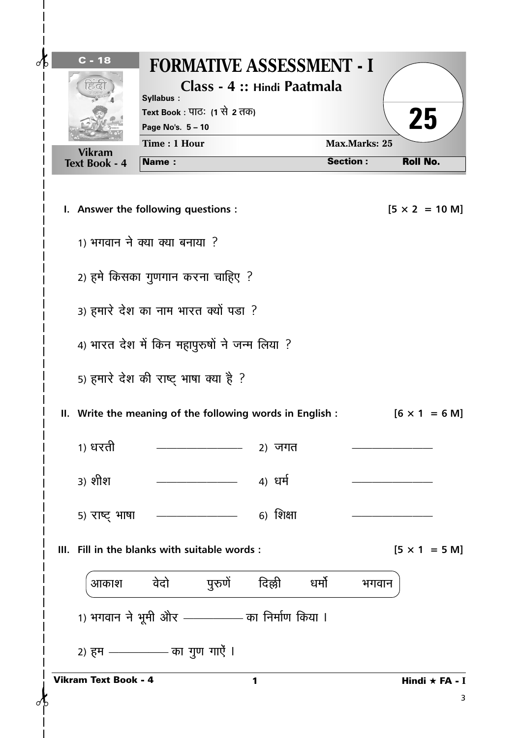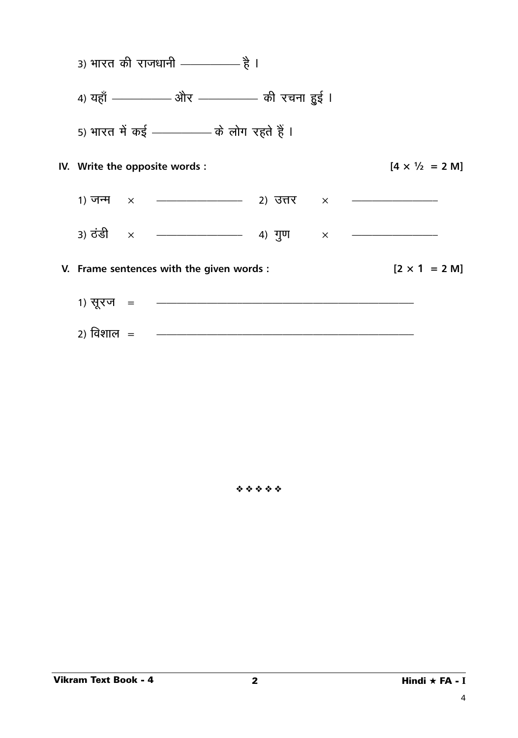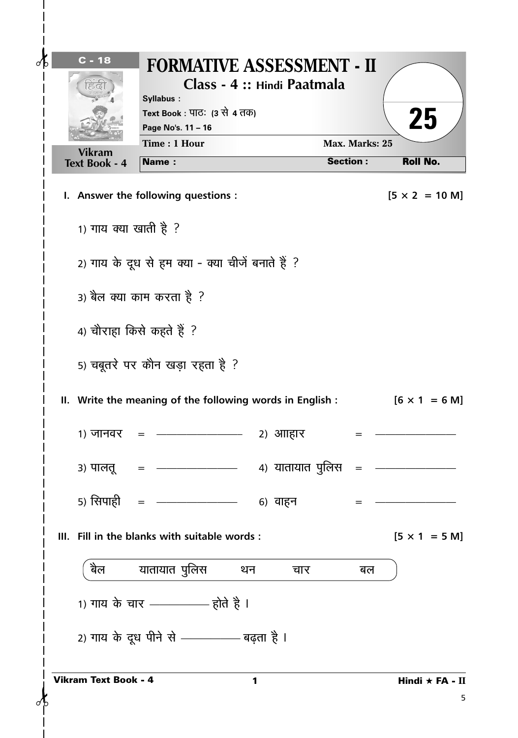| $C - 18$<br>⊲                         | <b>FORMATIVE ASSESSMENT - II</b><br>Syllabus:<br>Text Book : पाठः (3 से 4 तक)<br>Page No's. 11 - 16<br>Time: 1 Hour |   | Class - 4 :: Hindi Paatmala | Max. Marks: 25  | 25                            |
|---------------------------------------|---------------------------------------------------------------------------------------------------------------------|---|-----------------------------|-----------------|-------------------------------|
| <b>Vikram</b><br><b>Text Book - 4</b> | Name:                                                                                                               |   |                             | <b>Section:</b> | <b>Roll No.</b>               |
|                                       | I. Answer the following questions :                                                                                 |   |                             |                 | $[5 \times 2 = 10 \text{ M}]$ |
| 1) गाय क्या खाती है ?                 |                                                                                                                     |   |                             |                 |                               |
|                                       | 2) गाय के दूध से हम क्या - क्या चीजें बनाते हैं ?                                                                   |   |                             |                 |                               |
|                                       | 3) बैल क्या काम करता है ?                                                                                           |   |                             |                 |                               |
|                                       | 4) चौराहा किसे कहते हैं ?                                                                                           |   |                             |                 |                               |
|                                       | 5) चबूतरे पर कौन खड़ा रहता है ?                                                                                     |   |                             |                 |                               |
|                                       | II. Write the meaning of the following words in English :                                                           |   |                             |                 | $[6 \times 1 = 6 \text{ M}]$  |
| 1) जानवर                              |                                                                                                                     |   | 2) आाहार                    |                 |                               |
|                                       |                                                                                                                     |   |                             |                 |                               |
|                                       | 5) सिपाही   =  —————————    6)  वाहन                                                                                |   |                             |                 |                               |
|                                       | III. Fill in the blanks with suitable words:                                                                        |   |                             |                 | $[5 \times 1 = 5 M]$          |
| बैल                                   | यातायात पुलिस थन                                                                                                    |   | चार                         | बल              |                               |
|                                       | 1) गाय के चार ————— होते है ।                                                                                       |   |                             |                 |                               |
|                                       | 2) गाय के दूध पीने से ————— बढ़ता है ।                                                                              |   |                             |                 |                               |
| <b>Vikram Text Book - 4</b>           |                                                                                                                     | 1 |                             |                 | Hindi $\star$ FA - II<br>5    |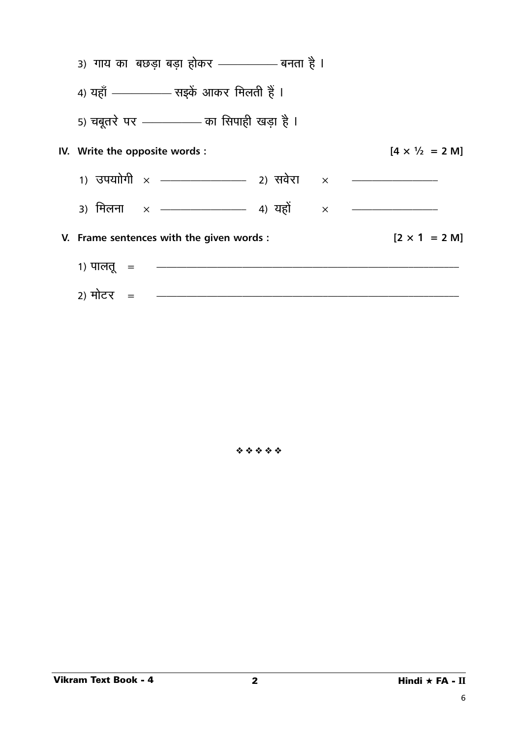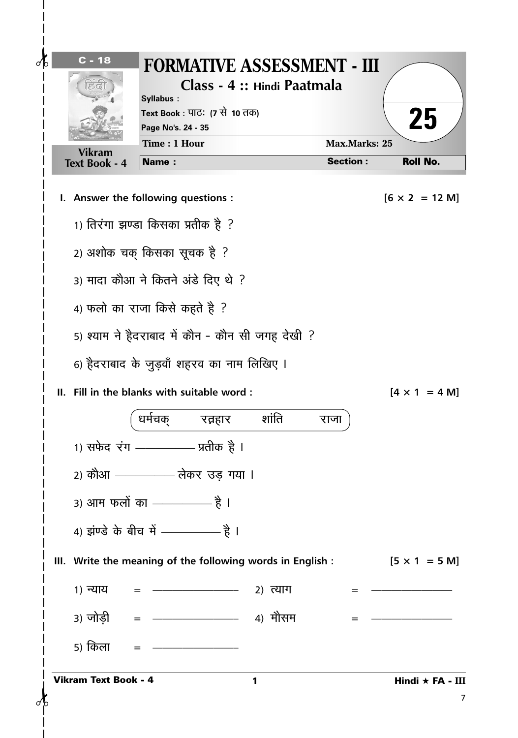

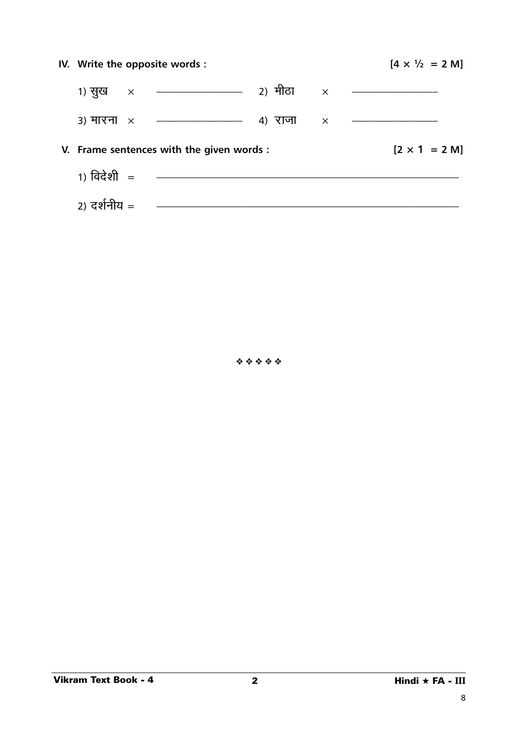| IV. Write the opposite words : | $[4 \times \frac{1}{2} = 2 \text{ M}]$    |  |                              |  |
|--------------------------------|-------------------------------------------|--|------------------------------|--|
|                                |                                           |  |                              |  |
|                                |                                           |  |                              |  |
|                                | V. Frame sentences with the given words : |  | $[2 \times 1 = 2 \text{ M}]$ |  |
|                                |                                           |  |                              |  |
| 2) दर्शनीय =                   |                                           |  |                              |  |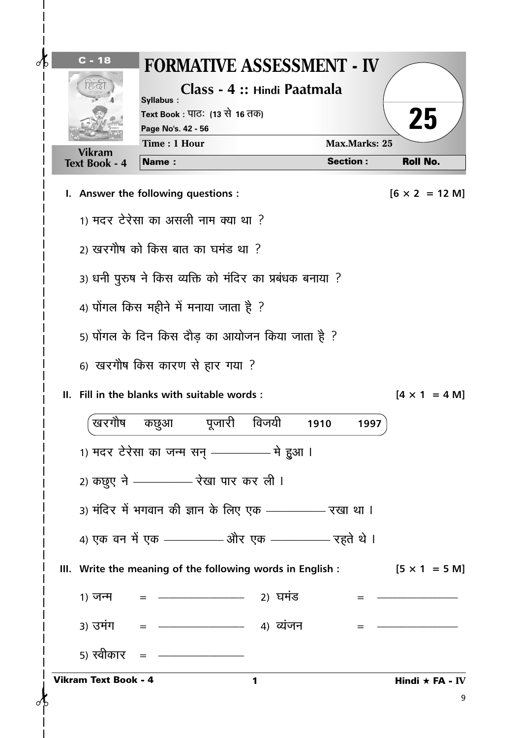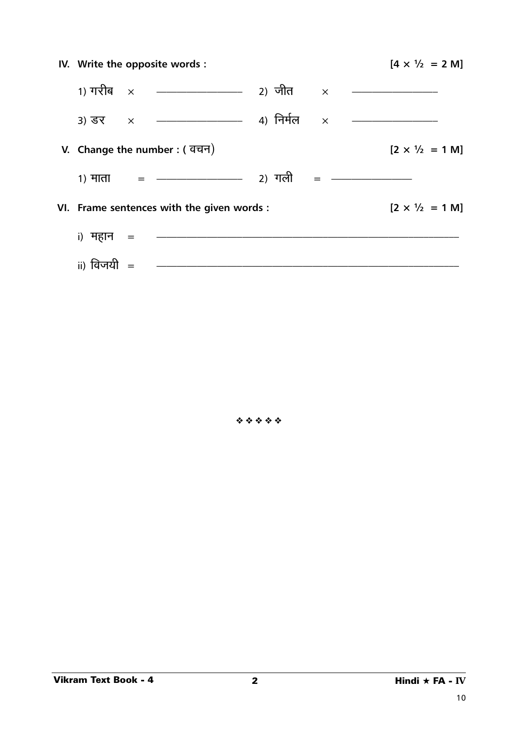| IV. Write the opposite words: |                                           |  | $[4 \times \frac{1}{2} = 2 \text{ M}]$ |  |
|-------------------------------|-------------------------------------------|--|----------------------------------------|--|
|                               |                                           |  |                                        |  |
|                               |                                           |  |                                        |  |
| V. Change the number: ( वचन)  |                                           |  | $[2 \times \frac{1}{2} = 1 \text{ M}]$ |  |
|                               |                                           |  |                                        |  |
|                               | VI. Frame sentences with the given words: |  | $[2 \times \frac{1}{2} = 1 \text{ M}]$ |  |
| i) महान =                     |                                           |  |                                        |  |
| ii) विजयी $=$                 |                                           |  |                                        |  |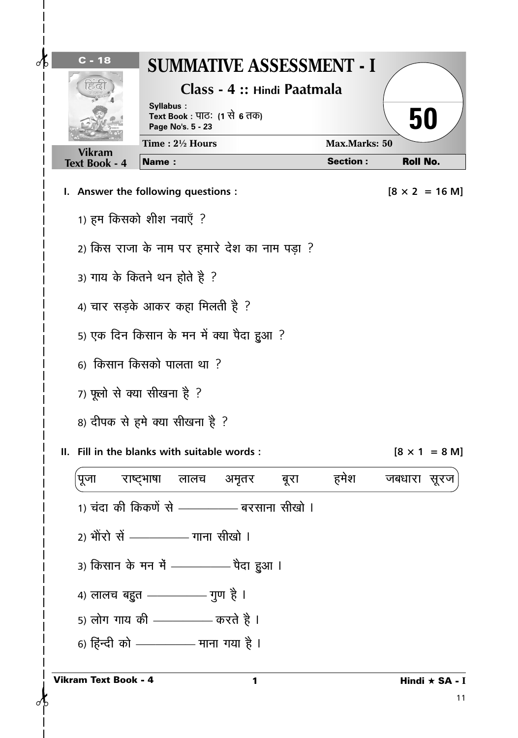|                      | Class - 4 :: Hindi Paatmala<br>Syllabus:<br>Text Book : पाठः (1 से 6 तक)<br>Page No's. 5 - 23 |                 | 50                            |
|----------------------|-----------------------------------------------------------------------------------------------|-----------------|-------------------------------|
| <b>Vikram</b>        | Time: $2\frac{1}{2}$ Hours                                                                    | Max.Marks: 50   |                               |
| <b>Text Book - 4</b> | <b>Name:</b>                                                                                  | <b>Section:</b> | <b>Roll No.</b>               |
|                      | I. Answer the following questions :                                                           |                 | $[8 \times 2 = 16 \text{ M}]$ |
|                      | 1) हम किसको शीश नवाएँ ?                                                                       |                 |                               |
|                      | 2) किस राजा के नाम पर हमारे देश का नाम पड़ा ?                                                 |                 |                               |
|                      | 3) गाय के कितने थन होते है ?                                                                  |                 |                               |
|                      | 4) चार सड़के आकर कहा मिलती है ?                                                               |                 |                               |
|                      | 5) एक दिन किसान के मन में क्या पैदा हुआ ?                                                     |                 |                               |
|                      | 6) किसान किसको पालता था ?                                                                     |                 |                               |
|                      | 7) फूलो से क्या सीखना है ?                                                                    |                 |                               |
|                      |                                                                                               |                 |                               |
|                      | 8) दीपक से हमे क्या सीखना है ?                                                                |                 |                               |
|                      | Fill in the blanks with suitable words :                                                      |                 |                               |
| पूजा                 | राष्ट्भाषा लालच अमृतर बूरा                                                                    | हमेश            | जबधारा सूरज                   |
|                      | 1) चंदा की किकणें से ————— बरसाना सीखो ।                                                      |                 |                               |
|                      | 2) भोरो सें —————— गाना सीखो ।                                                                |                 |                               |
|                      | 3) किसान के मन में ————— पैदा हुआ ।                                                           |                 |                               |
|                      | 4) लालच बहुत ————— गुण है ।                                                                   |                 |                               |
|                      | 5) लोग गाय की ————— करते है ।                                                                 |                 | $[8 \times 1 = 8 \text{ M}]$  |
|                      | 6) हिन्दी को —————— माना गया है ।                                                             |                 |                               |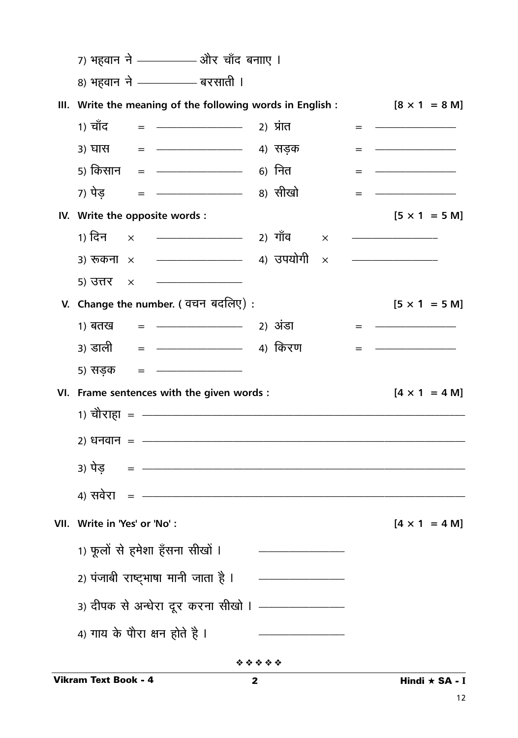|     | 7) भहवान ने —————— और चाँद बनााए ।                                                                                                           |                                          |   |                                                                                                                      |
|-----|----------------------------------------------------------------------------------------------------------------------------------------------|------------------------------------------|---|----------------------------------------------------------------------------------------------------------------------|
|     | 8) भहवान ने ————— बरसाती ।                                                                                                                   |                                          |   |                                                                                                                      |
| Ш.  | Write the meaning of the following words in English :                                                                                        |                                          |   | $[8 \times 1 = 8 \text{ M}]$                                                                                         |
|     | 1) चाँद<br>= ———————————————————— 2) प्रांत                                                                                                  |                                          | = |                                                                                                                      |
|     | = ———————————————————— 4) सडक<br>3) घास                                                                                                      |                                          |   |                                                                                                                      |
|     | 5) किसान   =  — <del>———————</del> 6)  नित                                                                                                   |                                          |   |                                                                                                                      |
|     | 7) पेड                                                                                                                                       |                                          |   |                                                                                                                      |
|     | IV. Write the opposite words :                                                                                                               |                                          |   | $[5 \times 1 = 5 \text{ M}]$                                                                                         |
|     | 1) दिन<br>———————————————————— 2) गाँव<br>$\times$                                                                                           | $\times$                                 |   |                                                                                                                      |
|     | ———————————————————— 4) उपयोगी<br>3) रूकना $\times$                                                                                          | X                                        |   | <u> 1989 - Johann John Stone, mars eta bat eta bat eta bat eta bat eta bat eta bat eta bat eta bat eta bat eta b</u> |
|     | <u> 1980 - Johann John Stone, mars eta bat eta bat eta bat eta bat eta bat eta bat eta bat eta bat eta bat eta b</u><br>5) उत्तर<br>$\times$ |                                          |   |                                                                                                                      |
|     | V. Change the number. (वचन बदलिए):                                                                                                           |                                          |   | $[5 \times 1 = 5 \text{ M}]$                                                                                         |
|     |                                                                                                                                              |                                          |   |                                                                                                                      |
|     | ३) डाली                                                                                                                                      |                                          |   |                                                                                                                      |
|     | 5) सड़क                                                                                                                                      |                                          |   |                                                                                                                      |
| VI. | Frame sentences with the given words :                                                                                                       |                                          |   | $[4 \times 1 = 4 M]$                                                                                                 |
|     | 1) चौराहा = ———————————————————                                                                                                              |                                          |   |                                                                                                                      |
|     | 2) धनवान = ——————————————————                                                                                                                |                                          |   |                                                                                                                      |
|     | 3) पेड = —————————————————                                                                                                                   |                                          |   |                                                                                                                      |
|     |                                                                                                                                              |                                          |   |                                                                                                                      |
|     | VII. Write in 'Yes' or 'No':                                                                                                                 |                                          |   | $[4 \times 1 = 4 M]$                                                                                                 |
|     | 1) फूलों से हमेशा हँसना सीखों ।                                                                                                              |                                          |   |                                                                                                                      |
|     | 2) पंजाबी राष्ट्भाषा मानी जाता है ।                                                                                                          | <u> 2000 - Johann Stone, mars et al.</u> |   |                                                                                                                      |
|     | 3) दीपक से अन्धेरा दूर करना सीखो । ————————                                                                                                  |                                          |   |                                                                                                                      |
|     | 4) गाय के पौरा क्षन होते है ।                                                                                                                |                                          |   |                                                                                                                      |
|     |                                                                                                                                              | *****                                    |   |                                                                                                                      |
|     | <b>Vikram Text Book - 4</b>                                                                                                                  | 2                                        |   | Hindi ★ SA - I                                                                                                       |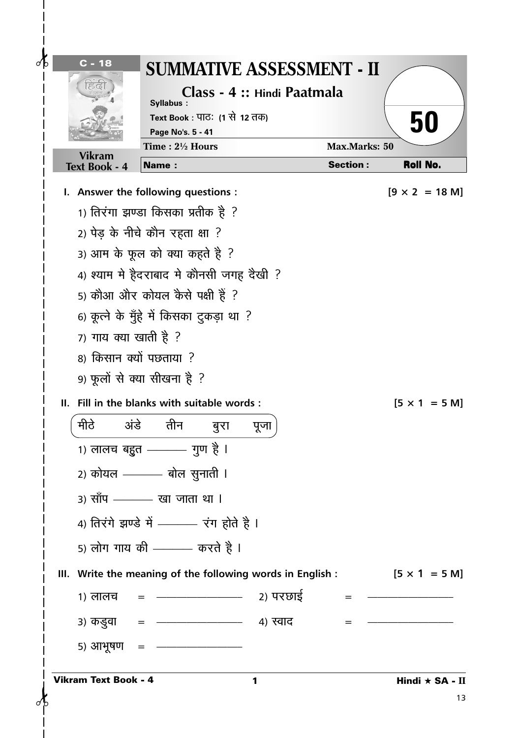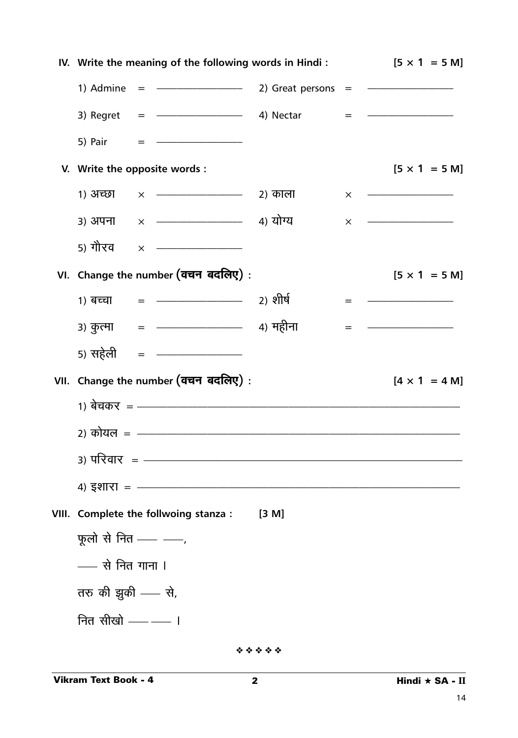| IV. Write the meaning of the following words in Hindi: | $[5 \times 1 = 5 \text{ M}]$                                                                                                                                                                                                                                                                          |          |                              |
|--------------------------------------------------------|-------------------------------------------------------------------------------------------------------------------------------------------------------------------------------------------------------------------------------------------------------------------------------------------------------|----------|------------------------------|
| 1) Admine                                              | $=$ $   2)$ Great persons $=$ $-$                                                                                                                                                                                                                                                                     |          |                              |
|                                                        | 3) Regret = $\frac{1}{2}$ = $\frac{1}{2}$ + $\frac{1}{2}$ + $\frac{1}{2}$ + $\frac{1}{2}$ + $\frac{1}{2}$ + $\frac{1}{2}$ + $\frac{1}{2}$ + $\frac{1}{2}$ + $\frac{1}{2}$ + $\frac{1}{2}$ + $\frac{1}{2}$ + $\frac{1}{2}$ + $\frac{1}{2}$ + $\frac{1}{2}$ + $\frac{1}{2}$ + $\frac{1}{2}$ + $\frac{1$ |          |                              |
| 5) Pair                                                | = <del>____________</del> _____                                                                                                                                                                                                                                                                       |          |                              |
| V. Write the opposite words :                          |                                                                                                                                                                                                                                                                                                       |          | $[5 \times 1 = 5 \text{ M}]$ |
| 1) अच्छा                                               | $\times$ $\frac{1}{2}$ and $\frac{1}{2}$                                                                                                                                                                                                                                                              | $\times$ |                              |
|                                                        | 3) अपना × — <del>——————</del> 4) योग्य                                                                                                                                                                                                                                                                |          |                              |
| 5) गौरव                                                |                                                                                                                                                                                                                                                                                                       |          |                              |
|                                                        | VI. Change the number (वचन बदलिए) :                                                                                                                                                                                                                                                                   |          | $[5 \times 1 = 5 \text{ M}]$ |
|                                                        |                                                                                                                                                                                                                                                                                                       |          |                              |
|                                                        | 3) कुत्मा     =   —————————————    4) महीना                                                                                                                                                                                                                                                           |          |                              |
| 5) सहेली                                               | $\qquad \qquad \blacksquare \qquad \qquad \blacksquare$                                                                                                                                                                                                                                               |          |                              |
|                                                        | VII. Change the number (वचन बदलिए) :                                                                                                                                                                                                                                                                  |          | $[4 \times 1 = 4 M]$         |
|                                                        | 1) बेचकर = ————————————————————————                                                                                                                                                                                                                                                                   |          |                              |
|                                                        | 2) कोयल = ———————————————————————————————                                                                                                                                                                                                                                                             |          |                              |
|                                                        | <u> 3) परिवार = —————————————————</u>                                                                                                                                                                                                                                                                 |          |                              |
| <u>4) इशारा = ——————</u>                               |                                                                                                                                                                                                                                                                                                       |          |                              |
|                                                        | VIII. Complete the follwoing stanza : [3 M]                                                                                                                                                                                                                                                           |          |                              |
| फूलो से नित $\rule{1em}{0.15mm}$ $\qquad$              |                                                                                                                                                                                                                                                                                                       |          |                              |
| $-$ से नित गाना ।                                      |                                                                                                                                                                                                                                                                                                       |          |                              |
| तरु की झुकी —— से,                                     |                                                                                                                                                                                                                                                                                                       |          |                              |
| नित सीखो $\rule{1em}{0.15mm}$ ।                        |                                                                                                                                                                                                                                                                                                       |          |                              |
|                                                        |                                                                                                                                                                                                                                                                                                       |          |                              |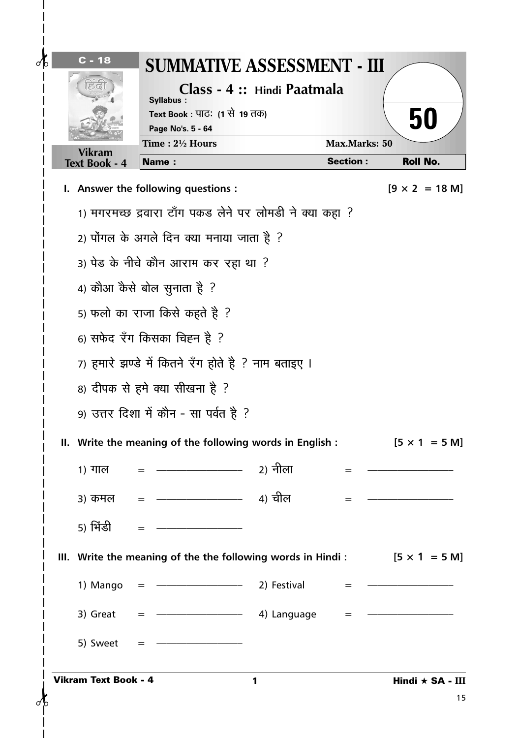| $\delta$<br>$C - 18$        | <b>SUMMATIVE ASSESSMENT - III</b><br>Syllabus:<br>Text Book : पाठः (1 से 19 तक)<br>Page No's. 5 - 64                                                                                                                                                                                                                    | Class - 4 :: Hindi Paatmala |                      | 50                            |
|-----------------------------|-------------------------------------------------------------------------------------------------------------------------------------------------------------------------------------------------------------------------------------------------------------------------------------------------------------------------|-----------------------------|----------------------|-------------------------------|
| <b>Vikram</b>               | Time: 21/2 Hours                                                                                                                                                                                                                                                                                                        |                             | <b>Max.Marks: 50</b> |                               |
| <b>Text Book - 4</b>        | <b>Name:</b>                                                                                                                                                                                                                                                                                                            |                             | <b>Section:</b>      | <b>Roll No.</b>               |
|                             | I. Answer the following questions :                                                                                                                                                                                                                                                                                     |                             |                      | $[9 \times 2 = 18 \text{ M}]$ |
|                             | 1) मगरमच्छ द्रवारा टाँग पकड लेने पर लोमडी ने क्या कहा ?                                                                                                                                                                                                                                                                 |                             |                      |                               |
|                             | 2) पोंगल के अगले दिन क्या मनाया जाता है ?                                                                                                                                                                                                                                                                               |                             |                      |                               |
|                             | 3) पेड के नीचे कौन आराम कर रहा था ?                                                                                                                                                                                                                                                                                     |                             |                      |                               |
|                             | 4) कौआ कैसे बोल सुनाता है ?                                                                                                                                                                                                                                                                                             |                             |                      |                               |
|                             | 5) फलो का राजा किसे कहते है ?                                                                                                                                                                                                                                                                                           |                             |                      |                               |
|                             | 6) सफेद रँग किसका चिह्न है ?                                                                                                                                                                                                                                                                                            |                             |                      |                               |
|                             | 7) हमारे झण्डे में कितने रँग होते है ? नाम बताइए ।                                                                                                                                                                                                                                                                      |                             |                      |                               |
|                             | 8) दीपक से हमे क्या सीखना है ?                                                                                                                                                                                                                                                                                          |                             |                      |                               |
|                             | 9) उत्तर दिशा में कौन - सा पर्वत है ?                                                                                                                                                                                                                                                                                   |                             |                      |                               |
|                             | II. Write the meaning of the following words in English:                                                                                                                                                                                                                                                                |                             |                      | $[5 \times 1 = 5 \text{ M}]$  |
| 1) गाल                      | <u> 1989 - Jan Barnett, mars ann an t-Amhraich ann an t-Amhraich ann an t-Amhraich ann an t-Amhraich ann an t-Amhraich ann an t-Amhraich ann an t-Amhraich ann an t-Amhraich ann an t-Amhraich ann an t-Amhraich ann an t-Amhrai</u>                                                                                    | 2) नीला                     |                      |                               |
| ३) कमल                      |                                                                                                                                                                                                                                                                                                                         |                             |                      |                               |
| 5) भिंडी                    |                                                                                                                                                                                                                                                                                                                         |                             |                      |                               |
|                             | III. Write the meaning of the the following words in Hindi: $[5 \times 1 = 5 \text{ M}]$                                                                                                                                                                                                                                |                             |                      |                               |
| 1) Mango                    | <b>2)</b> Festival                                                                                                                                                                                                                                                                                                      |                             |                      |                               |
| 3) Great                    | $=$ $\frac{\ }{}$ $\frac{1}{2}$ $\frac{1}{2}$ $\frac{1}{2}$ $\frac{1}{2}$ $\frac{1}{2}$ $\frac{1}{2}$ $\frac{1}{2}$ $\frac{1}{2}$ $\frac{1}{2}$ $\frac{1}{2}$ $\frac{1}{2}$ $\frac{1}{2}$ $\frac{1}{2}$ $\frac{1}{2}$ $\frac{1}{2}$ $\frac{1}{2}$ $\frac{1}{2}$ $\frac{1}{2}$ $\frac{1}{2}$ $\frac{1}{2}$ $\frac{1}{2}$ |                             | $=$ $-$              |                               |
| 5) Sweet                    |                                                                                                                                                                                                                                                                                                                         |                             |                      |                               |
| <b>Vikram Text Book - 4</b> |                                                                                                                                                                                                                                                                                                                         | 1                           |                      | Hindi ★ SA - III              |
|                             |                                                                                                                                                                                                                                                                                                                         |                             |                      | 15                            |